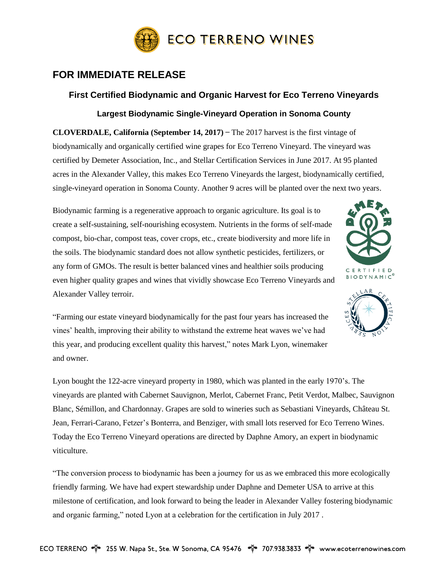

## **FOR IMMEDIATE RELEASE**

## **First Certified Biodynamic and Organic Harvest for Eco Terreno Vineyards Largest Biodynamic Single-Vineyard Operation in Sonoma County**

**CLOVERDALE, California (September 14, 2017) ̶** The 2017 harvest is the first vintage of biodynamically and organically certified wine grapes for Eco Terreno Vineyard. The vineyard was certified by Demeter Association, Inc., and Stellar Certification Services in June 2017. At 95 planted acres in the Alexander Valley, this makes Eco Terreno Vineyards the largest, biodynamically certified, single-vineyard operation in Sonoma County. Another 9 acres will be planted over the next two years.

Biodynamic farming is a regenerative approach to organic agriculture. Its goal is to create a self-sustaining, self-nourishing ecosystem. Nutrients in the forms of self-made compost, bio-char, compost teas, cover crops, etc., create biodiversity and more life in the soils. The biodynamic standard does not allow synthetic pesticides, fertilizers, or any form of GMOs. The result is better balanced vines and healthier soils producing even higher quality grapes and wines that vividly showcase Eco Terreno Vineyards and Alexander Valley terroir.





"Farming our estate vineyard biodynamically for the past four years has increased the vines' health, improving their ability to withstand the extreme heat waves we've had this year, and producing excellent quality this harvest," notes Mark Lyon, winemaker and owner.

Lyon bought the 122-acre vineyard property in 1980, which was planted in the early 1970's. The vineyards are planted with Cabernet Sauvignon, Merlot, Cabernet Franc, Petit Verdot, Malbec, Sauvignon Blanc, Sémillon, and Chardonnay. Grapes are sold to wineries such as Sebastiani Vineyards, Château St. Jean, Ferrari-Carano, Fetzer's Bonterra, and Benziger, with small lots reserved for Eco Terreno Wines. Today the Eco Terreno Vineyard operations are directed by Daphne Amory, an expert in biodynamic viticulture.

"The conversion process to biodynamic has been a journey for us as we embraced this more ecologically friendly farming. We have had expert stewardship under Daphne and Demeter USA to arrive at this milestone of certification, and look forward to being the leader in Alexander Valley fostering biodynamic and organic farming," noted Lyon at a celebration for the certification in July 2017 .